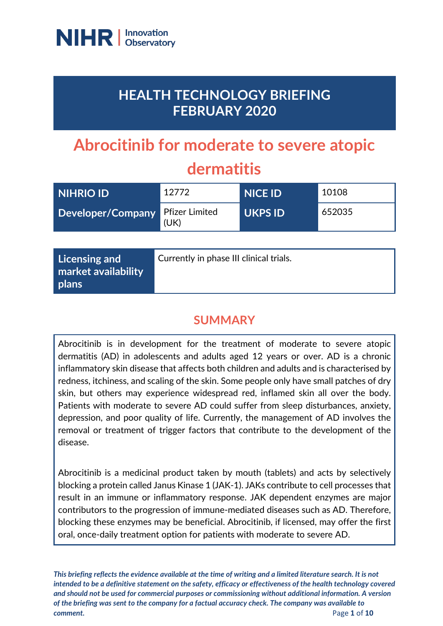

# **HEALTH TECHNOLOGY BRIEFING FEBRUARY 2020**

# **Abrocitinib for moderate to severe atopic dermatitis**

| <b>NIHRIO ID</b>                 | 12772 | <b>NICE ID</b> | 10108  |
|----------------------------------|-------|----------------|--------|
| Developer/Company Pfizer Limited | (UK)  | <b>UKPS ID</b> | 652035 |

| Licensing and<br>market availability<br>plans | Currently in phase III clinical trials. |
|-----------------------------------------------|-----------------------------------------|
|-----------------------------------------------|-----------------------------------------|

# **SUMMARY**

Abrocitinib is in development for the treatment of moderate to severe atopic dermatitis (AD) in adolescents and adults aged 12 years or over. AD is a chronic inflammatory skin disease that affects both children and adults and is characterised by redness, itchiness, and scaling of the skin. Some people only have small patches of dry skin, but others may experience widespread red, inflamed skin all over the body. Patients with moderate to severe AD could suffer from sleep disturbances, anxiety, depression, and poor quality of life. Currently, the management of AD involves the removal or treatment of trigger factors that contribute to the development of the disease.

Abrocitinib is a medicinal product taken by mouth (tablets) and acts by selectively blocking a protein called Janus Kinase 1 (JAK-1). JAKs contribute to cell processes that result in an immune or inflammatory response. JAK dependent enzymes are major contributors to the progression of immune-mediated diseases such as AD. Therefore, blocking these enzymes may be beneficial. Abrocitinib, if licensed, may offer the first oral, once-daily treatment option for patients with moderate to severe AD.

*This briefing reflects the evidence available at the time of writing and a limited literature search. It is not intended to be a definitive statement on the safety, efficacy or effectiveness of the health technology covered and should not be used for commercial purposes or commissioning without additional information. A version of the briefing was sent to the company for a factual accuracy check. The company was available to comment.* Page 1 of 10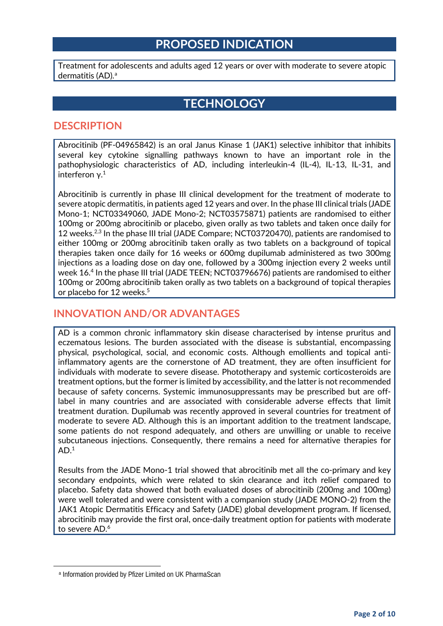## **PROPOSED INDICATION**

Treatment for adolescents and adults aged 12 years or over with moderate to severe atopic dermatitis (AD). [a](#page-1-0)

## **TECHNOLOGY**

#### **DESCRIPTION**

Abrocitinib (PF-04965842) is an oral Janus Kinase 1 (JAK1) selective inhibitor that inhibits several key cytokine signalling pathways known to have an important role in the pathophysiologic characteristics of AD, including interleukin-4 (IL-4), IL-13, IL-31, and interferon γ. $^1$ 

Abrocitinib is currently in phase III clinical development for the treatment of moderate to severe atopic dermatitis, in patients aged 12 years and over. In the phase III clinical trials (JADE Mono-1; NCT03349060, JADE Mono-2; NCT03575871) patients are randomised to either 100mg or 200mg abrocitinib or placebo, given orally as two tablets and taken once daily for 12 weeks.<sup>2,3</sup> In the phase III trial (JADE Compare; NCT03720470), patients are randomised to either 100mg or 200mg abrocitinib taken orally as two tablets on a background of topical therapies taken once daily for 16 weeks or 600mg dupilumab administered as two 300mg injections as a loading dose on day one, followed by a 300mg injection every 2 weeks until week 16. <sup>4</sup> In the phase III trial (JADE TEEN; NCT03796676) patients are randomised to either 100mg or 200mg abrocitinib taken orally as two tablets on a background of topical therapies or placebo for 12 weeks.<sup>5</sup>

#### **INNOVATION AND/OR ADVANTAGES**

AD is a common chronic inflammatory skin disease characterised by intense pruritus and eczematous lesions. The burden associated with the disease is substantial, encompassing physical, psychological, social, and economic costs. Although emollients and topical antiinflammatory agents are the cornerstone of AD treatment, they are often insufficient for individuals with moderate to severe disease. Phototherapy and systemic corticosteroids are treatment options, but the former is limited by accessibility, and the latter is not recommended because of safety concerns. Systemic immunosuppressants may be prescribed but are offlabel in many countries and are associated with considerable adverse effects that limit treatment duration. Dupilumab was recently approved in several countries for treatment of moderate to severe AD. Although this is an important addition to the treatment landscape, some patients do not respond adequately, and others are unwilling or unable to receive subcutaneous injections. Consequently, there remains a need for alternative therapies for  $AD.<sup>1</sup>$ 

Results from the JADE Mono-1 trial showed that abrocitinib met all the co-primary and key secondary endpoints, which were related to skin clearance and itch relief compared to placebo. Safety data showed that both evaluated doses of abrocitinib (200mg and 100mg) were well tolerated and were consistent with a companion study (JADE MONO-2) from the JAK1 Atopic Dermatitis Efficacy and Safety (JADE) global development program. If licensed, abrocitinib may provide the first oral, once-daily treatment option for patients with moderate to severe AD.<sup>6</sup>

<span id="page-1-0"></span> $\overline{\phantom{a}}$ 

<sup>a</sup> Information provided by Pfizer Limited on UK PharmaScan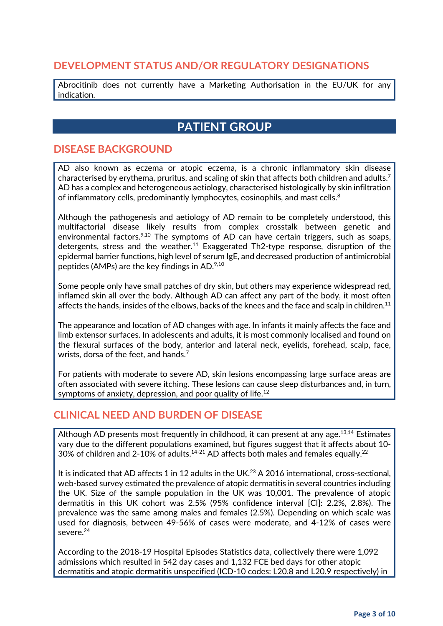#### **DEVELOPMENT STATUS AND/OR REGULATORY DESIGNATIONS**

Abrocitinib does not currently have a Marketing Authorisation in the EU/UK for any indication.

# **PATIENT GROUP**

#### **DISEASE BACKGROUND**

AD also known as eczema or atopic eczema, is a chronic inflammatory skin disease characterised by erythema, pruritus, and scaling of skin that affects both children and adults.<sup>7</sup> AD has a complex and heterogeneous aetiology, characterised histologically by skin infiltration of inflammatory cells, predominantly lymphocytes, eosinophils, and mast cells.<sup>8</sup>

Although the pathogenesis and aetiology of AD remain to be completely understood, this multifactorial disease likely results from complex crosstalk between genetic and environmental factors. $9,10$  The symptoms of AD can have certain triggers, such as soaps, detergents, stress and the weather.<sup>11</sup> Exaggerated Th2-type response, disruption of the epidermal barrier functions, high level of serum IgE, and decreased production of antimicrobial peptides (AMPs) are the key findings in AD. $9,10$ 

Some people only have small patches of dry skin, but others may experience widespread red, inflamed skin all over the body. Although AD can affect any part of the body, it most often affects the hands, insides of the elbows, backs of the knees and the face and scalp in children.<sup>11</sup>

The appearance and location of AD changes with age. In infants it mainly affects the face and limb extensor surfaces. In adolescents and adults, it is most commonly localised and found on the flexural surfaces of the body, anterior and lateral neck, eyelids, forehead, scalp, face, wrists, dorsa of the feet, and hands.<sup>7</sup>

For patients with moderate to severe AD, skin lesions encompassing large surface areas are often associated with severe itching. These lesions can cause sleep disturbances and, in turn, symptoms of anxiety, depression, and poor quality of life.<sup>12</sup>

#### **CLINICAL NEED AND BURDEN OF DISEASE**

Although AD presents most frequently in childhood, it can present at any age.<sup>13,14</sup> Estimates vary due to the different populations examined, but figures suggest that it affects about 10- 30% of children and 2-10% of adults.<sup>14-21</sup> AD affects both males and females equally.<sup>22</sup>

It is indicated that AD affects 1 in 12 adults in the UK.<sup>23</sup> A 2016 international, cross-sectional, web-based survey estimated the prevalence of atopic dermatitis in several countries including the UK. Size of the sample population in the UK was 10,001. The prevalence of atopic dermatitis in this UK cohort was 2.5% (95% confidence interval [CI]: 2.2%, 2.8%). The prevalence was the same among males and females (2.5%). Depending on which scale was used for diagnosis, between 49-56% of cases were moderate, and 4-12% of cases were severe.24

According to the 2018-19 Hospital Episodes Statistics data, collectively there were 1,092 admissions which resulted in 542 day cases and 1,132 FCE bed days for other atopic dermatitis and atopic dermatitis unspecified (ICD-10 codes: L20.8 and L20.9 respectively) in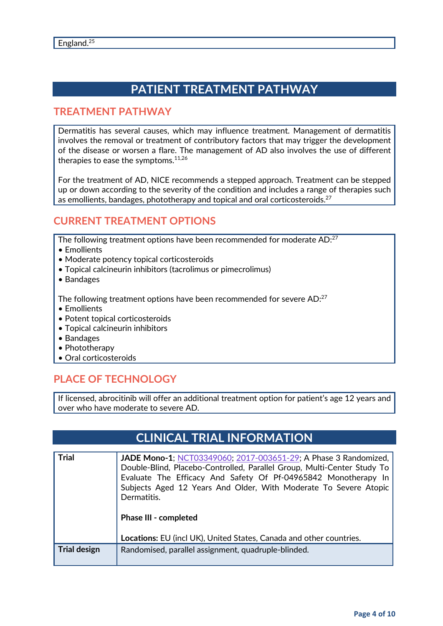# **PATIENT TREATMENT PATHWAY**

#### **TREATMENT PATHWAY**

Dermatitis has several causes, which may influence treatment. Management of dermatitis involves the removal or treatment of contributory factors that may trigger the development of the disease or worsen a flare. The management of AD also involves the use of different therapies to ease the symptoms.<sup>11,26</sup>

For the treatment of AD, NICE recommends a stepped approach. Treatment can be stepped up or down according to the severity of the condition and includes a range of therapies such as emollients, bandages, phototherapy and topical and oral corticosteroids.<sup>27</sup>

#### **CURRENT TREATMENT OPTIONS**

The following treatment options have been recommended for moderate AD:<sup>27</sup>

- Emollients
- Moderate potency topical corticosteroids
- Topical calcineurin inhibitors (tacrolimus or pimecrolimus)
- Bandages

The following treatment options have been recommended for severe AD:<sup>27</sup>

- Emollients
- Potent topical corticosteroids
- Topical calcineurin inhibitors
- Bandages
- Phototherapy
- Oral corticosteroids

## **PLACE OF TECHNOLOGY**

If licensed, abrocitinib will offer an additional treatment option for patient's age 12 years and over who have moderate to severe AD.

## **CLINICAL TRIAL INFORMATION**

| <b>Trial</b>        | <b>JADE Mono-1; NCT03349060; 2017-003651-29; A Phase 3 Randomized,</b><br>Double-Blind, Placebo-Controlled, Parallel Group, Multi-Center Study To<br>Evaluate The Efficacy And Safety Of Pf-04965842 Monotherapy In<br>Subjects Aged 12 Years And Older, With Moderate To Severe Atopic<br>Dermatitis.<br><b>Phase III - completed</b> |
|---------------------|----------------------------------------------------------------------------------------------------------------------------------------------------------------------------------------------------------------------------------------------------------------------------------------------------------------------------------------|
|                     | Locations: EU (incl UK), United States, Canada and other countries.                                                                                                                                                                                                                                                                    |
| <b>Trial design</b> | Randomised, parallel assignment, quadruple-blinded.                                                                                                                                                                                                                                                                                    |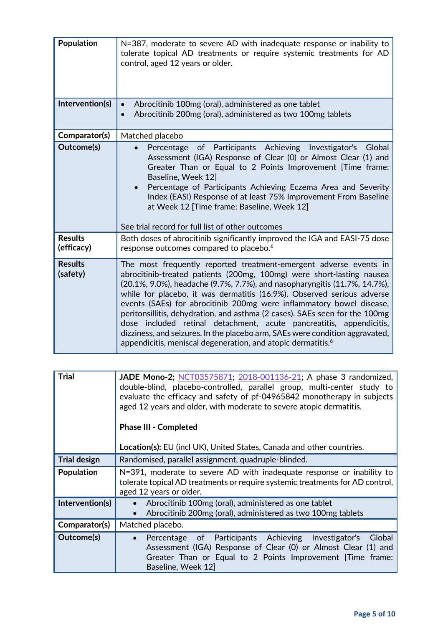| Population                   | N=387, moderate to severe AD with inadequate response or inability to<br>tolerate topical AD treatments or require systemic treatments for AD<br>control, aged 12 years or older.                                                                                                                                                                                                                                                                                                                                                                                                                                                                                                   |
|------------------------------|-------------------------------------------------------------------------------------------------------------------------------------------------------------------------------------------------------------------------------------------------------------------------------------------------------------------------------------------------------------------------------------------------------------------------------------------------------------------------------------------------------------------------------------------------------------------------------------------------------------------------------------------------------------------------------------|
| Intervention(s)              | Abrocitinib 100mg (oral), administered as one tablet<br>Abrocitinib 200mg (oral), administered as two 100mg tablets<br>$\bullet$                                                                                                                                                                                                                                                                                                                                                                                                                                                                                                                                                    |
| Comparator(s)                | Matched placebo                                                                                                                                                                                                                                                                                                                                                                                                                                                                                                                                                                                                                                                                     |
| Outcome(s)                   | Percentage of Participants Achieving Investigator's<br>Global<br>Assessment (IGA) Response of Clear (0) or Almost Clear (1) and<br>Greater Than or Equal to 2 Points Improvement [Time frame:<br>Baseline, Week 12]<br>Percentage of Participants Achieving Eczema Area and Severity<br>Index (EASI) Response of at least 75% Improvement From Baseline<br>at Week 12 [Time frame: Baseline, Week 12]<br>See trial record for full list of other outcomes                                                                                                                                                                                                                           |
| <b>Results</b><br>(efficacy) | Both doses of abrocitinib significantly improved the IGA and EASI-75 dose<br>response outcomes compared to placebo. <sup>6</sup>                                                                                                                                                                                                                                                                                                                                                                                                                                                                                                                                                    |
| <b>Results</b><br>(safety)   | The most frequently reported treatment-emergent adverse events in<br>abrocitinib-treated patients (200mg, 100mg) were short-lasting nausea<br>(20.1%, 9.0%), headache (9.7%, 7.7%), and nasopharyngitis (11.7%, 14.7%),<br>while for placebo, it was dermatitis (16.9%). Observed serious adverse<br>events (SAEs) for abrocitinib 200mg were inflammatory bowel disease,<br>peritonsillitis, dehydration, and asthma (2 cases). SAEs seen for the 100mg<br>dose included retinal detachment, acute pancreatitis, appendicitis,<br>dizziness, and seizures. In the placebo arm, SAEs were condition aggravated,<br>appendicitis, meniscal degeneration, and atopic dermatitis. $^6$ |

| <b>Trial</b>        | JADE Mono-2; NCT03575871; 2018-001136-21; A phase 3 randomized,<br>double-blind, placebo-controlled, parallel group, multi-center study to<br>evaluate the efficacy and safety of pf-04965842 monotherapy in subjects<br>aged 12 years and older, with moderate to severe atopic dermatitis. |  |
|---------------------|----------------------------------------------------------------------------------------------------------------------------------------------------------------------------------------------------------------------------------------------------------------------------------------------|--|
|                     | <b>Phase III - Completed</b>                                                                                                                                                                                                                                                                 |  |
|                     | Location(s): EU (incl UK), United States, Canada and other countries.                                                                                                                                                                                                                        |  |
| <b>Trial design</b> | Randomised, parallel assignment, quadruple-blinded.                                                                                                                                                                                                                                          |  |
| Population          | N=391, moderate to severe AD with inadequate response or inability to<br>tolerate topical AD treatments or require systemic treatments for AD control,<br>aged 12 years or older.                                                                                                            |  |
| Intervention(s)     | Abrocitinib 100mg (oral), administered as one tablet<br>Abrocitinib 200mg (oral), administered as two 100mg tablets                                                                                                                                                                          |  |
| Comparator(s)       | Matched placebo.                                                                                                                                                                                                                                                                             |  |
| Outcome(s)          | Percentage of Participants Achieving Investigator's<br>Global<br>$\bullet$<br>Assessment (IGA) Response of Clear (0) or Almost Clear (1) and<br>Greater Than or Equal to 2 Points Improvement [Time frame:<br>Baseline, Week 12                                                              |  |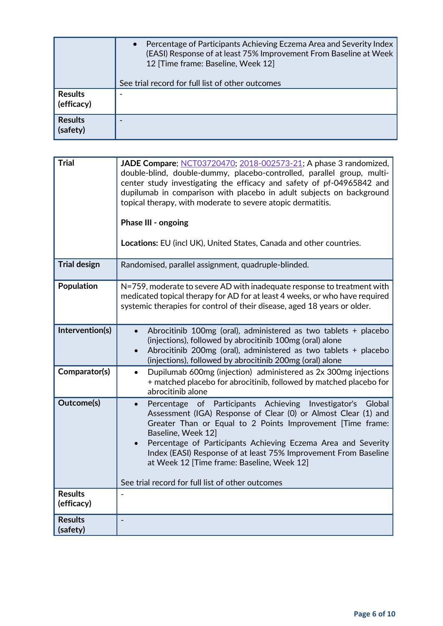|                              | Percentage of Participants Achieving Eczema Area and Severity Index<br>$\bullet$<br>(EASI) Response of at least 75% Improvement From Baseline at Week<br>12 Time frame: Baseline, Week 12]<br>See trial record for full list of other outcomes |
|------------------------------|------------------------------------------------------------------------------------------------------------------------------------------------------------------------------------------------------------------------------------------------|
| <b>Results</b><br>(efficacy) |                                                                                                                                                                                                                                                |
| <b>Results</b><br>(safety)   |                                                                                                                                                                                                                                                |

| <b>Trial</b>               | <b>JADE Compare</b> ; NCT03720470; 2018-002573-21; A phase 3 randomized,<br>double-blind, double-dummy, placebo-controlled, parallel group, multi-<br>center study investigating the efficacy and safety of pf-04965842 and<br>dupilumab in comparison with placebo in adult subjects on background<br>topical therapy, with moderate to severe atopic dermatitis.<br>Phase III - ongoing<br>Locations: EU (incl UK), United States, Canada and other countries. |
|----------------------------|------------------------------------------------------------------------------------------------------------------------------------------------------------------------------------------------------------------------------------------------------------------------------------------------------------------------------------------------------------------------------------------------------------------------------------------------------------------|
| <b>Trial design</b>        | Randomised, parallel assignment, quadruple-blinded.                                                                                                                                                                                                                                                                                                                                                                                                              |
| Population                 | N=759, moderate to severe AD with inadequate response to treatment with<br>medicated topical therapy for AD for at least 4 weeks, or who have required<br>systemic therapies for control of their disease, aged 18 years or older.                                                                                                                                                                                                                               |
| Intervention(s)            | Abrocitinib 100mg (oral), administered as two tablets + placebo<br>$\bullet$<br>(injections), followed by abrocitinib 100mg (oral) alone<br>Abrocitinib 200mg (oral), administered as two tablets + placebo<br>$\bullet$<br>(injections), followed by abrocitinib 200mg (oral) alone                                                                                                                                                                             |
| Comparator(s)              | Dupilumab 600mg (injection) administered as 2x 300mg injections<br>$\bullet$<br>+ matched placebo for abrocitinib, followed by matched placebo for<br>abrocitinib alone                                                                                                                                                                                                                                                                                          |
| <b>Outcome(s)</b>          | of Participants Achieving Investigator's<br>Global<br>Percentage<br>Assessment (IGA) Response of Clear (0) or Almost Clear (1) and<br>Greater Than or Equal to 2 Points Improvement [Time frame:<br>Baseline, Week 12]<br>Percentage of Participants Achieving Eczema Area and Severity<br>$\bullet$<br>Index (EASI) Response of at least 75% Improvement From Baseline<br>at Week 12 [Time frame: Baseline, Week 12]                                            |
| <b>Results</b>             | See trial record for full list of other outcomes                                                                                                                                                                                                                                                                                                                                                                                                                 |
| (efficacy)                 |                                                                                                                                                                                                                                                                                                                                                                                                                                                                  |
| <b>Results</b><br>(safety) |                                                                                                                                                                                                                                                                                                                                                                                                                                                                  |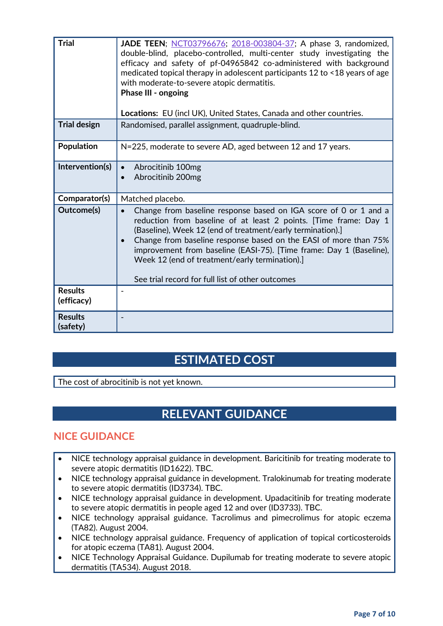| <b>Trial</b><br><b>Trial design</b> | <b>JADE TEEN</b> ; NCT03796676; 2018-003804-37; A phase 3, randomized,<br>double-blind, placebo-controlled, multi-center study investigating the<br>efficacy and safety of pf-04965842 co-administered with background<br>medicated topical therapy in adolescent participants 12 to <18 years of age<br>with moderate-to-severe atopic dermatitis.<br>Phase III - ongoing<br>Locations: EU (incl UK), United States, Canada and other countries.<br>Randomised, parallel assignment, quadruple-blind. |
|-------------------------------------|--------------------------------------------------------------------------------------------------------------------------------------------------------------------------------------------------------------------------------------------------------------------------------------------------------------------------------------------------------------------------------------------------------------------------------------------------------------------------------------------------------|
|                                     |                                                                                                                                                                                                                                                                                                                                                                                                                                                                                                        |
| <b>Population</b>                   | N=225, moderate to severe AD, aged between 12 and 17 years.                                                                                                                                                                                                                                                                                                                                                                                                                                            |
| Intervention(s)                     | Abrocitinib 100mg<br>Abrocitinib 200mg                                                                                                                                                                                                                                                                                                                                                                                                                                                                 |
| Comparator(s)                       | Matched placebo.                                                                                                                                                                                                                                                                                                                                                                                                                                                                                       |
| Outcome(s)                          | Change from baseline response based on IGA score of 0 or 1 and a<br>reduction from baseline of at least 2 points. [Time frame: Day 1<br>(Baseline), Week 12 (end of treatment/early termination).<br>Change from baseline response based on the EASI of more than 75%<br>$\bullet$<br>improvement from baseline (EASI-75). [Time frame: Day 1 (Baseline),<br>Week 12 (end of treatment/early termination).]<br>See trial record for full list of other outcomes                                        |
| <b>Results</b><br>(efficacy)        | $\overline{\phantom{a}}$                                                                                                                                                                                                                                                                                                                                                                                                                                                                               |
| <b>Results</b><br>(safety)          |                                                                                                                                                                                                                                                                                                                                                                                                                                                                                                        |

# **ESTIMATED COST**

The cost of abrocitinib is not yet known.

# **RELEVANT GUIDANCE**

#### **NICE GUIDANCE**

- NICE technology appraisal guidance in development. Baricitinib for treating moderate to severe atopic dermatitis (ID1622). TBC.
- NICE technology appraisal guidance in development. Tralokinumab for treating moderate to severe atopic dermatitis (ID3734). TBC.
- NICE technology appraisal guidance in development. Upadacitinib for treating moderate to severe atopic dermatitis in people aged 12 and over (ID3733). TBC.
- NICE technology appraisal guidance. Tacrolimus and pimecrolimus for atopic eczema (TA82). August 2004.
- NICE technology appraisal guidance. Frequency of application of topical corticosteroids for atopic eczema (TA81). August 2004.
- NICE Technology Appraisal Guidance. Dupilumab for treating moderate to severe atopic dermatitis (TA534). August 2018.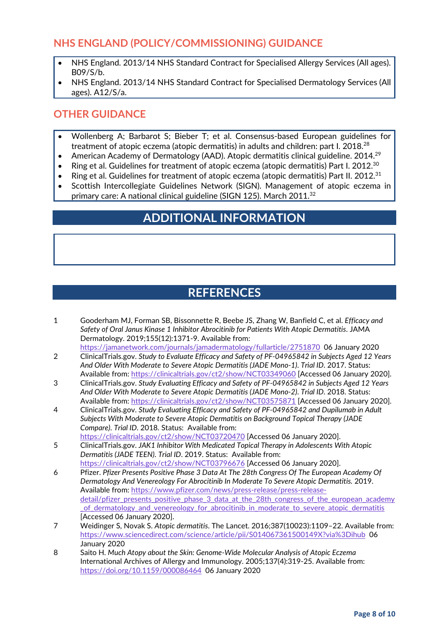## **NHS ENGLAND (POLICY/COMMISSIONING) GUIDANCE**

- NHS England. 2013/14 NHS Standard Contract for Specialised Allergy Services (All ages). B09/S/b.
- NHS England. 2013/14 NHS Standard Contract for Specialised Dermatology Services (All ages). A12/S/a.

### **OTHER GUIDANCE**

- Wollenberg A; Barbarot S; Bieber T; et al. Consensus-based European guidelines for treatment of atopic eczema (atopic dermatitis) in adults and children: part I. 2018.<sup>28</sup>
- American Academy of Dermatology (AAD). Atopic dermatitis clinical guideline. 2014.<sup>29</sup>
- Ring et al. Guidelines for treatment of atopic eczema (atopic dermatitis) Part I. 2012.<sup>30</sup>
- Ring et al. Guidelines for treatment of atopic eczema (atopic dermatitis) Part II. 2012.<sup>31</sup>
- Scottish Intercollegiate Guidelines Network (SIGN). Management of atopic eczema in primary care: A national clinical guideline (SIGN 125). March 2011.<sup>32</sup>

# **ADDITIONAL INFORMATION**

## **REFERENCES**

1 Gooderham MJ, Forman SB, Bissonnette R, Beebe JS, Zhang W, Banfield C, et al. *Efficacy and Safety of Oral Janus Kinase 1 Inhibitor Abrocitinib for Patients With Atopic Dermatitis*. JAMA Dermatology. 2019;155(12):1371-9. Available from:

<https://jamanetwork.com/journals/jamadermatology/fullarticle/2751870>06 January 2020

- 2 ClinicalTrials.gov. *Study to Evaluate Efficacy and Safety of PF-04965842 in Subjects Aged 12 Years And Older With Moderate to Severe Atopic Dermatitis (JADE Mono-1)*. *Trial ID*. 2017. Status: Available from:<https://clinicaltrials.gov/ct2/show/NCT03349060> [Accessed 06 January 2020].
- 3 ClinicalTrials.gov. *Study Evaluating Efficacy and Safety of PF-04965842 in Subjects Aged 12 Years And Older With Moderate to Severe Atopic Dermatitis (JADE Mono-2)*. *Trial ID*. 2018. Status: Available from:<https://clinicaltrials.gov/ct2/show/NCT03575871> [Accessed 06 January 2020].
- 4 ClinicalTrials.gov. *Study Evaluating Efficacy and Safety of PF-04965842 and Dupilumab in Adult Subjects With Moderate to Severe Atopic Dermatitis on Background Topical Therapy (JADE Compare)*. *Trial ID*. 2018. Status: Available from:
- <https://clinicaltrials.gov/ct2/show/NCT03720470> [Accessed 06 January 2020]. 5 ClinicalTrials.gov. *JAK1 Inhibitor With Medicated Topical Therapy in Adolescents With Atopic* 
	- *Dermatitis (JADE TEEN)*. *Trial ID*. 2019. Status: Available from: <https://clinicaltrials.gov/ct2/show/NCT03796676> [Accessed 06 January 2020].
- 6 Pfizer. *Pfizer Presents Positive Phase 3 Data At The 28th Congress Of The European Academy Of Dermatology And Venereology For Abrocitinib In Moderate To Severe Atopic Dermatitis.* 2019. Available from: [https://www.pfizer.com/news/press-release/press-release](https://www.pfizer.com/news/press-release/press-release-detail/pfizer_presents_positive_phase_3_data_at_the_28th_congress_of_the_european_academy_of_dermatology_and_venereology_for_abrocitinib_in_moderate_to_severe_atopic_dermatitis)[detail/pfizer\\_presents\\_positive\\_phase\\_3\\_data\\_at\\_the\\_28th\\_congress\\_of\\_the\\_european\\_academy](https://www.pfizer.com/news/press-release/press-release-detail/pfizer_presents_positive_phase_3_data_at_the_28th_congress_of_the_european_academy_of_dermatology_and_venereology_for_abrocitinib_in_moderate_to_severe_atopic_dermatitis) [\\_of\\_dermatology\\_and\\_venereology\\_for\\_abrocitinib\\_in\\_moderate\\_to\\_severe\\_atopic\\_dermatitis](https://www.pfizer.com/news/press-release/press-release-detail/pfizer_presents_positive_phase_3_data_at_the_28th_congress_of_the_european_academy_of_dermatology_and_venereology_for_abrocitinib_in_moderate_to_severe_atopic_dermatitis) [Accessed 06 January 2020].
- 7 Weidinger S, Novak S. *Atopic dermatitis*. The Lancet. 2016;387(10023):1109–22. Available from: <https://www.sciencedirect.com/science/article/pii/S014067361500149X?via%3Dihub>06 January 2020
- 8 Saito H. *Much Atopy about the Skin: Genome-Wide Molecular Analysis of Atopic Eczema*  International Archives of Allergy and Immunology. 2005;137(4):319-25. Available from: <https://doi.org/10.1159/000086464>06 January 2020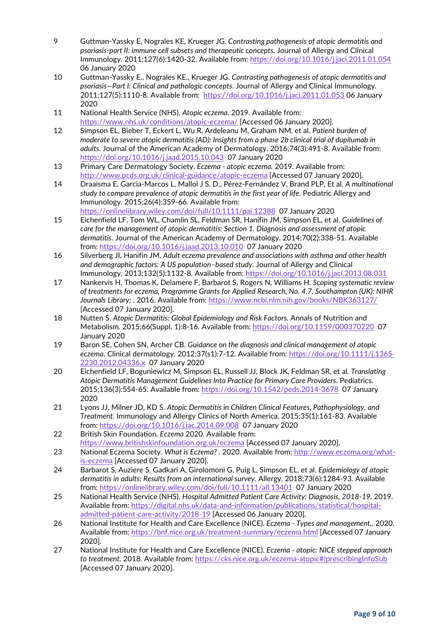- 9 Guttman-Yassky E, Nograles KE, Krueger JG. *Contrasting pathogenesis of atopic dermatitis and psoriasis-part II: immune cell subsets and therapeutic concepts*. Journal of Allergy and Clinical Immunology. 2011;127(6):1420-32. Available from:<https://doi.org/10.1016/j.jaci.2011.01.054> 06 January 2020
- 10 Guttman-Yassky E., Nograles KE., Krueger JG. *Contrasting pathogenesis of atopic dermatitis and psoriasis—Part I: Clinical and pathologic concepts*. Journal of Allergy and Clinical Immunology. 2011;127(5):1110-8. Available from: <https://doi.org/10.1016/j.jaci.2011.01.053> 06 January 2020
- 11 National Health Service (NHS). *Atopic eczema.* 2019. Available from: <https://www.nhs.uk/conditions/atopic-eczema/> [Accessed 06 January 2020].
- 12 Simpson EL, Bieber T, Eckert L, Wu R, Ardeleanu M, Graham NM, et al. *Patient burden of moderate to severe atopic dermatitis (AD): Insights from a phase 2b clinical trial of dupilumab in adults.* Journal of the American Academy of Dermatology. 2016;74(3):491-8. Available from: <https://doi.org/10.1016/j.jaad.2015.10.043>07 January 2020
- 13 Primary Care Dermatology Society. *Eczema - atopic eczema.* 2019. Available from: <http://www.pcds.org.uk/clinical-guidance/atopic-eczema> [Accessed 07 January 2020].
- 14 Draaisma E, Garcia-Marcos L, Mallol J S. D., Pérez-Fernández V, Brand PLP, Et al. *A multinational study to compare prevalence of atopic dermatitis in the first year of life*. Pediatric Allergy and Immunology. 2015;26(4):359-66. Available from: <https://onlinelibrary.wiley.com/doi/full/10.1111/pai.12388>07 January 2020
- <span id="page-8-0"></span>15 Eichenfield LF, Tom WL, Chamlin SL, Feldman SR, Hanifin JM, Simpson EL, et al. *Guidelines of care for the management of atopic dermatitis: Section 1. Diagnosis and assessment of atopic dermatitis*. Journal of the American Academy of Dermatology. 2014;70(2):338-51. Available from:<https://doi.org/10.1016/j.jaad.2013.10.010>07 January 2020
- 16 Silverberg JI, Hanifin JM. *Adult eczema prevalence and associations with asthma and other health and demographic factors: A US population–based study.* Journal of Allergy and Clinical Immunology. 2013;132(5):1132-8. Available from:<https://doi.org/10.1016/j.jaci.2013.08.031>
- 17 Nankervis H, Thomas K, Delamere F, Barbarot S, Rogers N, Williams H. *Scoping systematic review of treatments for eczema, Programme Grants for Applied Research, No. 4.7, Southampton (UK): NIHR Journals Library; .* 2016. Available from:<https://www.ncbi.nlm.nih.gov/books/NBK363127/> [Accessed 07 January 2020].
- 18 Nutten S. *Atopic Dermatitis: Global Epidemiology and Risk Factors.* Annals of Nutrition and Metabolism. 2015;66(Suppl. 1):8-16. Available from[: https://doi.org/10.1159/000370220](https://doi.org/10.1159/000370220) 07 January 2020
- 19 Baron SE, Cohen SN, Archer CB. *Guidance on the diagnosis and clinical management of atopic eczema*. Clinical dermatology. 2012;37(s1):7-12. Available from: [https://doi.org/10.1111/j.1365-](https://doi.org/10.1111/j.1365-2230.2012.04336.x) [2230.2012.04336.x](https://doi.org/10.1111/j.1365-2230.2012.04336.x) 07 January 2020
- 20 Eichenfield LF, Boguniewicz M, Simpson EL, Russell JJ, Block JK, Feldman SR, et al. *Translating Atopic Dermatitis Management Guidelines Into Practice for Primary Care Providers*. Pediatrics. 2015;136(3):554-65. Available from:<https://doi.org/10.1542/peds.2014-3678>07 January 2020
- 21 Lyons JJ, Milner JD, KD S. *Atopic Dermatitis in Children Clinical Features, Pathophysiology, and Treatment*. Immunology and Allergy Clinics of North America. 2015;35(1):161-83. Available from:<https://doi.org/10.1016/j.iac.2014.09.008>07 January 2020
- 22 British Skin Foundation. *Eczema* 2020. Available from: <https://www.britishskinfoundation.org.uk/eczema> [Accessed 07 January 2020].
- 23 National Eczema Society. *What is Eczema? .* 2020. Available from: [http://www.eczema.org/what](http://www.eczema.org/what-is-eczema)[is-eczema](http://www.eczema.org/what-is-eczema) [Accessed 07 January 2020].
- 24 Barbarot S, Auziere S, Gadkari A, Girolomoni G, Puig L, Simpson EL, et al. *Epidemiology of atopic dermatitis in adults: Results from an international survey.* Allergy. 2018;73(6):1284-93. Available from:<https://onlinelibrary.wiley.com/doi/full/10.1111/all.13401>07 January 2020
- 25 National Health Service (NHS). *Hospital Admitted Patient Care Activity: Diagnosis, 2018-19.* 2019. Available from: [https://digital.nhs.uk/data-and-information/publications/statistical/hospital](https://digital.nhs.uk/data-and-information/publications/statistical/hospital-admitted-patient-care-activity/2018-19)[admitted-patient-care-activity/2018-19](https://digital.nhs.uk/data-and-information/publications/statistical/hospital-admitted-patient-care-activity/2018-19) [Accessed 06 January 2020].
- 26 National Institute for Health and Care Excellence (NICE). *Eczema - Types and management,.* 2020. Available from:<https://bnf.nice.org.uk/treatment-summary/eczema.html> [Accessed 07 January 2020].
- 27 National Institute for Health and Care Excellence (NICE). *Eczema - atopic: NICE stepped approach to treatment.* 2018. Available from:<https://cks.nice.org.uk/eczema-atopic#!prescribingInfoSub> [Accessed 07 January 2020].